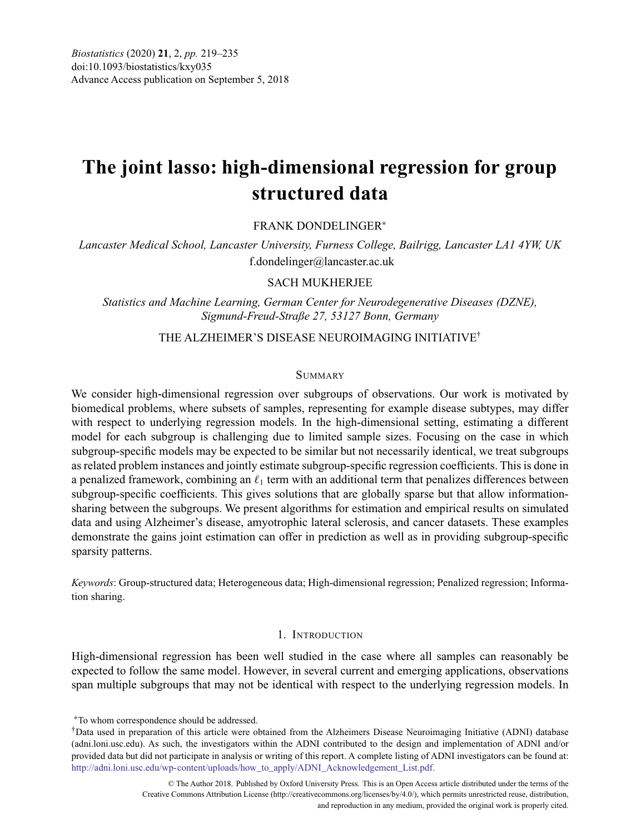*Biostatistics* (2020) **21**, 2, *pp.* 219–235 doi:10.1093/biostatistics/kxy035 Advance Access publication on September 5, 2018

# **The joint lasso: high-dimensional regression for group structured data**

FRANK DONDELINGER<sup>∗</sup>

*Lancaster Medical School, Lancaster University, Furness College, Bailrigg, Lancaster LA1 4YW, UK* f.dondelinger@lancaster.ac.uk

## SACH MUKHERJEE

*Statistics and Machine Learning, German Center for Neurodegenerative Diseases (DZNE), Sigmund-Freud-Straße 27, 53127 Bonn, Germany*

# THE ALZHEIMER'S DISEASE NEUROIMAGING INITIATIVE†

#### **SUMMARY**

We consider high-dimensional regression over subgroups of observations. Our work is motivated by biomedical problems, where subsets of samples, representing for example disease subtypes, may differ with respect to underlying regression models. In the high-dimensional setting, estimating a different model for each subgroup is challenging due to limited sample sizes. Focusing on the case in which subgroup-specific models may be expected to be similar but not necessarily identical, we treat subgroups as related problem instances and jointly estimate subgroup-specific regression coefficients. This is done in a penalized framework, combining an  $\ell_1$  term with an additional term that penalizes differences between subgroup-specific coefficients. This gives solutions that are globally sparse but that allow informationsharing between the subgroups. We present algorithms for estimation and empirical results on simulated data and using Alzheimer's disease, amyotrophic lateral sclerosis, and cancer datasets. These examples demonstrate the gains joint estimation can offer in prediction as well as in providing subgroup-specific sparsity patterns.

*Keywords*: Group-structured data; Heterogeneous data; High-dimensional regression; Penalized regression; Information sharing.

## 1. INTRODUCTION

High-dimensional regression has been well studied in the case where all samples can reasonably be expected to follow the same model. However, in several current and emerging applications, observations span multiple subgroups that may not be identical with respect to the underlying regression models. In

<sup>∗</sup>To whom correspondence should be addressed.

<sup>†</sup>Data used in preparation of this article were obtained from the Alzheimers Disease Neuroimaging Initiative (ADNI) database (adni.loni.usc.edu). As such, the investigators within the ADNI contributed to the design and implementation of ADNI and/or provided data but did not participate in analysis or writing of this report. A complete listing of ADNI investigators can be found at: [http://adni.loni.usc.edu/wp-content/uploads/how\\_to\\_apply/ADNI\\_Acknowledgement\\_List.pdf.](http://adni.loni.usc.edu/wp-content/uploads/how_to_apply/ADNI_Acknowledgement_List.pdf.)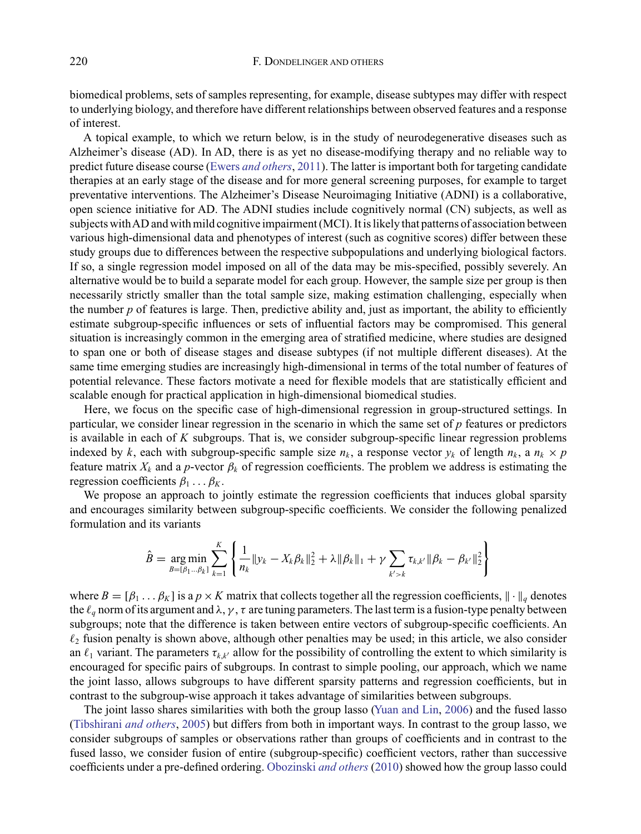biomedical problems, sets of samples representing, for example, disease subtypes may differ with respect to underlying biology, and therefore have different relationships between observed features and a response of interest.

A topical example, to which we return below, is in the study of neurodegenerative diseases such as Alzheimer's disease (AD). In AD, there is as yet no disease-modifying therapy and no reliable way to predict future disease course (Ewers *[and others](#page-15-0)*, [2011\)](#page-15-0). The latter is important both for targeting candidate therapies at an early stage of the disease and for more general screening purposes, for example to target preventative interventions. The Alzheimer's Disease Neuroimaging Initiative (ADNI) is a collaborative, open science initiative for AD. The ADNI studies include cognitively normal (CN) subjects, as well as subjects withAD and with mild cognitive impairment (MCI). It is likely that patterns of association between various high-dimensional data and phenotypes of interest (such as cognitive scores) differ between these study groups due to differences between the respective subpopulations and underlying biological factors. If so, a single regression model imposed on all of the data may be mis-specified, possibly severely. An alternative would be to build a separate model for each group. However, the sample size per group is then necessarily strictly smaller than the total sample size, making estimation challenging, especially when the number  $p$  of features is large. Then, predictive ability and, just as important, the ability to efficiently estimate subgroup-specific influences or sets of influential factors may be compromised. This general situation is increasingly common in the emerging area of stratified medicine, where studies are designed to span one or both of disease stages and disease subtypes (if not multiple different diseases). At the same time emerging studies are increasingly high-dimensional in terms of the total number of features of potential relevance. These factors motivate a need for flexible models that are statistically efficient and scalable enough for practical application in high-dimensional biomedical studies.

Here, we focus on the specific case of high-dimensional regression in group-structured settings. In particular, we consider linear regression in the scenario in which the same set of *p* features or predictors is available in each of *K* subgroups. That is, we consider subgroup-specific linear regression problems indexed by *k*, each with subgroup-specific sample size  $n_k$ , a response vector  $y_k$  of length  $n_k$ , a  $n_k \times p$ feature matrix *Xk* and a *p*-vector β*<sup>k</sup>* of regression coefficients. The problem we address is estimating the regression coefficients  $\beta_1 \dots \beta_K$ .

We propose an approach to jointly estimate the regression coefficients that induces global sparsity and encourages similarity between subgroup-specific coefficients. We consider the following penalized formulation and its variants

$$
\hat{B} = \underset{B = [\beta_1...\beta_k]}{\arg \min} \sum_{k=1}^K \left\{ \frac{1}{n_k} \|y_k - X_k \beta_k\|_2^2 + \lambda \|\beta_k\|_1 + \gamma \sum_{k' > k} \tau_{k,k'} \|\beta_k - \beta_{k'}\|_2^2 \right\}
$$

where  $B = [\beta_1 \dots \beta_K]$  is a  $p \times K$  matrix that collects together all the regression coefficients,  $\| \cdot \|_q$  denotes the  $\ell_q$  norm of its argument and  $\lambda$ ,  $\gamma$ ,  $\tau$  are tuning parameters. The last term is a fusion-type penalty between subgroups; note that the difference is taken between entire vectors of subgroup-specific coefficients. An  $\ell_2$  fusion penalty is shown above, although other penalties may be used; in this article, we also consider an  $\ell_1$  variant. The parameters  $\tau_{k,k'}$  allow for the possibility of controlling the extent to which similarity is encouraged for specific pairs of subgroups. In contrast to simple pooling, our approach, which we name the joint lasso, allows subgroups to have different sparsity patterns and regression coefficients, but in contrast to the subgroup-wise approach it takes advantage of similarities between subgroups.

The joint lasso shares similarities with both the group lasso [\(Yuan and Lin,](#page-16-0) [2006\)](#page-16-0) and the fused lasso (Tibshirani *[and others](#page-16-0)*, [2005](#page-16-0)) but differs from both in important ways. In contrast to the group lasso, we consider subgroups of samples or observations rather than groups of coefficients and in contrast to the fused lasso, we consider fusion of entire (subgroup-specific) coefficient vectors, rather than successive coefficients under a pre-defined ordering. Obozinski *[and others](#page-16-0)* [\(2010](#page-16-0)) showed how the group lasso could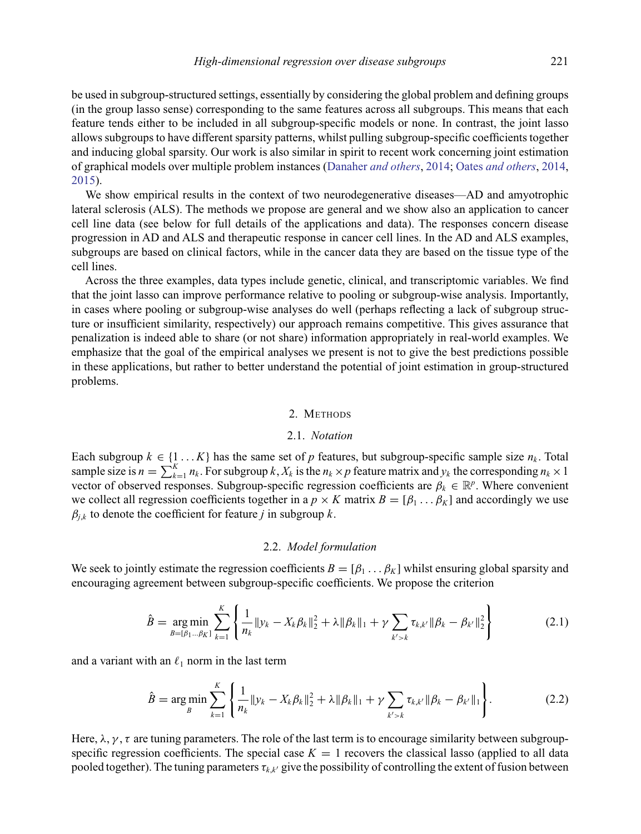<span id="page-2-0"></span>be used in subgroup-structured settings, essentially by considering the global problem and defining groups (in the group lasso sense) corresponding to the same features across all subgroups. This means that each feature tends either to be included in all subgroup-specific models or none. In contrast, the joint lasso allows subgroups to have different sparsity patterns, whilst pulling subgroup-specific coefficients together and inducing global sparsity. Our work is also similar in spirit to recent work concerning joint estimation of graphical models over multiple problem instances (Danaher *[and others](#page-15-0)*, [2014](#page-15-0); Oates *[and others](#page-16-0)*, [2014,](#page-16-0) [2015\)](#page-16-0).

We show empirical results in the context of two neurodegenerative diseases—AD and amyotrophic lateral sclerosis (ALS). The methods we propose are general and we show also an application to cancer cell line data (see below for full details of the applications and data). The responses concern disease progression in AD and ALS and therapeutic response in cancer cell lines. In the AD and ALS examples, subgroups are based on clinical factors, while in the cancer data they are based on the tissue type of the cell lines.

Across the three examples, data types include genetic, clinical, and transcriptomic variables. We find that the joint lasso can improve performance relative to pooling or subgroup-wise analysis. Importantly, in cases where pooling or subgroup-wise analyses do well (perhaps reflecting a lack of subgroup structure or insufficient similarity, respectively) our approach remains competitive. This gives assurance that penalization is indeed able to share (or not share) information appropriately in real-world examples. We emphasize that the goal of the empirical analyses we present is not to give the best predictions possible in these applications, but rather to better understand the potential of joint estimation in group-structured problems.

#### 2. METHODS

## 2.1. *Notation*

Each subgroup  $k \in \{1, \ldots K\}$  has the same set of *p* features, but subgroup-specific sample size  $n_k$ . Total sample size is  $n = \sum_{k=1}^{K} n_k$ . For subgroup  $k, X_k$  is the  $n_k \times p$  feature matrix and  $y_k$  the corresponding  $n_k \times 1$ vector of observed responses. Subgroup-specific regression coefficients are  $\beta_k \in \mathbb{R}^p$ . Where convenient we collect all regression coefficients together in a  $p \times K$  matrix  $B = [\beta_1 \dots \beta_K]$  and accordingly we use  $\beta_{j,k}$  to denote the coefficient for feature *j* in subgroup *k*.

#### 2.2. *Model formulation*

We seek to jointly estimate the regression coefficients  $B = [\beta_1 \dots \beta_K]$  whilst ensuring global sparsity and encouraging agreement between subgroup-specific coefficients. We propose the criterion

$$
\hat{B} = \underset{B = [\beta_1 \dots \beta_K]}{\arg \min} \sum_{k=1}^K \left\{ \frac{1}{n_k} \| y_k - X_k \beta_k \|_2^2 + \lambda \| \beta_k \|_1 + \gamma \sum_{k' > k} \tau_{k,k'} \| \beta_k - \beta_{k'} \|_2^2 \right\}
$$
(2.1)

and a variant with an  $\ell_1$  norm in the last term

$$
\hat{B} = \underset{B}{\arg\min} \sum_{k=1}^{K} \left\{ \frac{1}{n_k} \| y_k - X_k \beta_k \|_2^2 + \lambda \| \beta_k \|_1 + \gamma \sum_{k'>k} \tau_{k,k'} \| \beta_k - \beta_{k'} \|_1 \right\}.
$$
 (2.2)

Here,  $\lambda$ ,  $\gamma$ ,  $\tau$  are tuning parameters. The role of the last term is to encourage similarity between subgroupspecific regression coefficients. The special case  $K = 1$  recovers the classical lasso (applied to all data pooled together). The tuning parameters  $\tau_{k,k'}$  give the possibility of controlling the extent of fusion between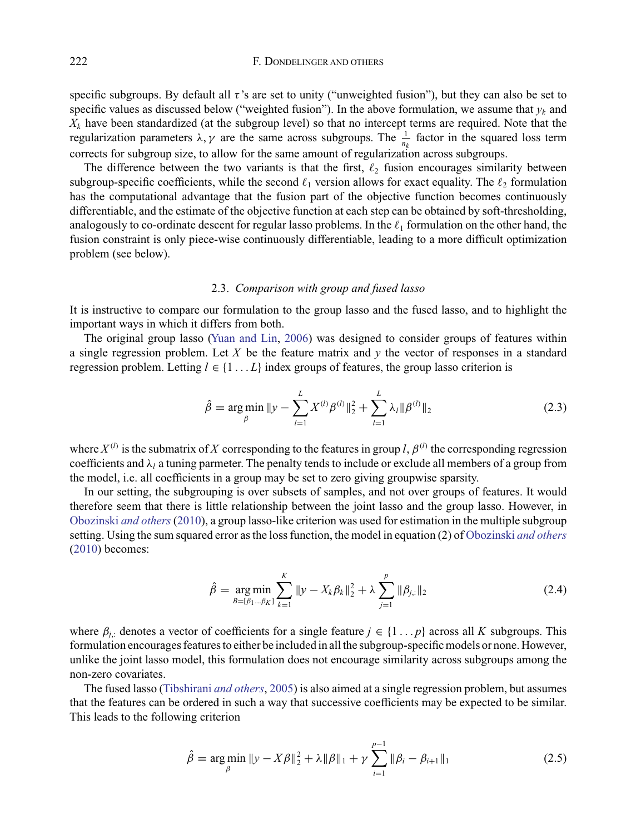specific subgroups. By default all  $\tau$ 's are set to unity ("unweighted fusion"), but they can also be set to specific values as discussed below ("weighted fusion"). In the above formulation, we assume that  $y_k$  and  $X_k$  have been standardized (at the subgroup level) so that no intercept terms are required. Note that the regularization parameters  $λ, γ$  are the same across subgroups. The  $\frac{1}{n_k}$  factor in the squared loss term corrects for subgroup size, to allow for the same amount of regularization across subgroups.

The difference between the two variants is that the first,  $\ell_2$  fusion encourages similarity between subgroup-specific coefficients, while the second  $\ell_1$  version allows for exact equality. The  $\ell_2$  formulation has the computational advantage that the fusion part of the objective function becomes continuously differentiable, and the estimate of the objective function at each step can be obtained by soft-thresholding, analogously to co-ordinate descent for regular lasso problems. In the  $\ell_1$  formulation on the other hand, the fusion constraint is only piece-wise continuously differentiable, leading to a more difficult optimization problem (see below).

#### 2.3. *Comparison with group and fused lasso*

It is instructive to compare our formulation to the group lasso and the fused lasso, and to highlight the important ways in which it differs from both.

The original group lasso [\(Yuan and Lin,](#page-16-0) [2006\)](#page-16-0) was designed to consider groups of features within a single regression problem. Let *X* be the feature matrix and *y* the vector of responses in a standard regression problem. Letting  $l \in \{1 \dots L\}$  index groups of features, the group lasso criterion is

$$
\hat{\beta} = \underset{\beta}{\arg\min} \ \|y - \sum_{l=1}^{L} X^{(l)} \beta^{(l)} \|_{2}^{2} + \sum_{l=1}^{L} \lambda_{l} \|\beta^{(l)}\|_{2}
$$
\n(2.3)

where  $X^{(l)}$  is the submatrix of *X* corresponding to the features in group *l*,  $\beta^{(l)}$  the corresponding regression coefficients and  $\lambda_l$  a tuning parmeter. The penalty tends to include or exclude all members of a group from the model, i.e. all coefficients in a group may be set to zero giving groupwise sparsity.

In our setting, the subgrouping is over subsets of samples, and not over groups of features. It would therefore seem that there is little relationship between the joint lasso and the group lasso. However, in Obozinski *[and others](#page-16-0)* [\(2010](#page-16-0)), a group lasso-like criterion was used for estimation in the multiple subgroup setting. Using the sum squared error as the loss function, the model in equation (2) of Obozinski *[and others](#page-16-0)* [\(2010\)](#page-16-0) becomes:

$$
\hat{\beta} = \underset{B = [\beta_1 \dots \beta_K]}{\arg \min} \sum_{k=1}^K \|y - X_k \beta_k\|_2^2 + \lambda \sum_{j=1}^p \|\beta_{j,:}\|_2
$$
\n(2.4)

where  $\beta_i$ , denotes a vector of coefficients for a single feature  $j \in \{1 \dots p\}$  across all *K* subgroups. This formulation encourages features to either be included in all the subgroup-specific models or none. However, unlike the joint lasso model, this formulation does not encourage similarity across subgroups among the non-zero covariates.

The fused lasso [\(Tibshirani](#page-16-0) *and others*, [2005](#page-16-0)) is also aimed at a single regression problem, but assumes that the features can be ordered in such a way that successive coefficients may be expected to be similar. This leads to the following criterion

$$
\hat{\beta} = \underset{\beta}{\arg\min} \ \|y - X\beta\|_2^2 + \lambda \|\beta\|_1 + \gamma \sum_{i=1}^{p-1} \|\beta_i - \beta_{i+1}\|_1 \tag{2.5}
$$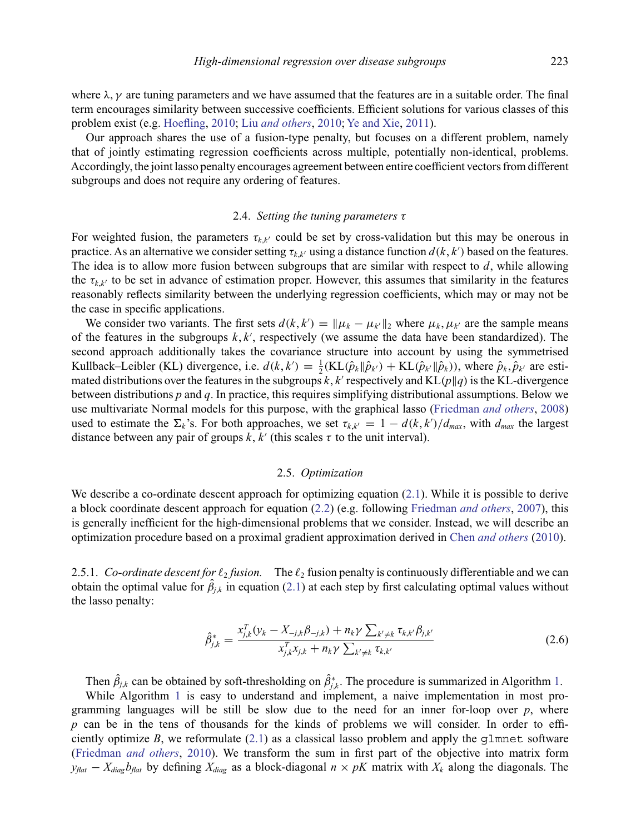<span id="page-4-0"></span>where  $\lambda$ ,  $\gamma$  are tuning parameters and we have assumed that the features are in a suitable order. The final term encourages similarity between successive coefficients. Efficient solutions for various classes of this problem exist (e.g. [Hoefling,](#page-15-0) [2010;](#page-15-0) Liu *[and others](#page-16-0)*, [2010](#page-16-0); [Ye and Xie](#page-16-0), [2011](#page-16-0)).

Our approach shares the use of a fusion-type penalty, but focuses on a different problem, namely that of jointly estimating regression coefficients across multiple, potentially non-identical, problems. Accordingly, the joint lasso penalty encourages agreement between entire coefficient vectors from different subgroups and does not require any ordering of features.

## 2.4. *Setting the tuning parameters* τ

For weighted fusion, the parameters  $\tau_{kk'}$  could be set by cross-validation but this may be onerous in practice. As an alternative we consider setting  $\tau_{k,k'}$  using a distance function  $d(k, k')$  based on the features. The idea is to allow more fusion between subgroups that are similar with respect to *d*, while allowing the  $\tau_{k,k'}$  to be set in advance of estimation proper. However, this assumes that similarity in the features reasonably reflects similarity between the underlying regression coefficients, which may or may not be the case in specific applications.

We consider two variants. The first sets  $d(k, k') = ||\mu_k - \mu_{k'}||_2$  where  $\mu_k, \mu_{k'}$  are the sample means of the features in the subgroups *k*, *k* , respectively (we assume the data have been standardized). The second approach additionally takes the covariance structure into account by using the symmetrised Kullback–Leibler (KL) divergence, i.e.  $d(k, k') = \frac{1}{2} (KL(\hat{p}_k || \hat{p}_{k'}) + KL(\hat{p}_{k'} || \hat{p}_k))$ , where  $\hat{p}_k, \hat{p}_{k'}$  are estimated distributions over the features in the subgroups  $k$ ,  $k'$  respectively and  $KL(p||q)$  is the KL-divergence between distributions *p* and *q*. In practice, this requires simplifying distributional assumptions. Below we use multivariate Normal models for this purpose, with the graphical lasso (Friedman *[and others](#page-15-0)*, [2008\)](#page-15-0) used to estimate the  $\Sigma_k$ 's. For both approaches, we set  $\tau_{k,k'} = 1 - d(k,k')/d_{max}$ , with  $d_{max}$  the largest distance between any pair of groups  $k, k'$  (this scales  $\tau$  to the unit interval).

## 2.5. *Optimization*

We describe a co-ordinate descent approach for optimizing equation [\(2.1\)](#page-2-0). While it is possible to derive a block coordinate descent approach for equation [\(2.2\)](#page-2-0) (e.g. following Friedman *[and others](#page-15-0)*, [2007](#page-15-0)), this is generally inefficient for the high-dimensional problems that we consider. Instead, we will describe an optimization procedure based on a proximal gradient approximation derived in Chen *[and others](#page-15-0)* [\(2010](#page-15-0)).

2.5.1. *Co-ordinate descent for*  $\ell_2$  *fusion*. The  $\ell_2$  fusion penalty is continuously differentiable and we can obtain the optimal value for  $\hat{\beta}_{j,k}$  in equation [\(2.1\)](#page-2-0) at each step by first calculating optimal values without the lasso penalty:

$$
\hat{\beta}_{j,k}^{*} = \frac{x_{j,k}^{T} (y_k - X_{-j,k} \beta_{-j,k}) + n_k \gamma \sum_{k' \neq k} \tau_{k,k'} \beta_{j,k'}}{x_{j,k}^{T} x_{j,k} + n_k \gamma \sum_{k' \neq k} \tau_{k,k'}} \tag{2.6}
$$

Then  $\hat{\beta}_{j,k}$  can be obtained by soft-thresholding on  $\hat{\beta}^*_{j,k}$ . The procedure is summarized in Algorithm [1.](#page-5-0)

While Algorithm [1](#page-5-0) is easy to understand and implement, a naive implementation in most programming languages will be still be slow due to the need for an inner for-loop over  $p$ , where *p* can be in the tens of thousands for the kinds of problems we will consider. In order to efficiently optimize  $B$ , we reformulate [\(2.1\)](#page-2-0) as a classical lasso problem and apply the glmnet software (Friedman *[and others](#page-15-0)*, [2010\)](#page-15-0). We transform the sum in first part of the objective into matrix form  $y_{\text{flat}} - X_{\text{diag}}b_{\text{flat}}$  by defining  $X_{\text{diag}}$  as a block-diagonal  $n \times pK$  matrix with  $X_k$  along the diagonals. The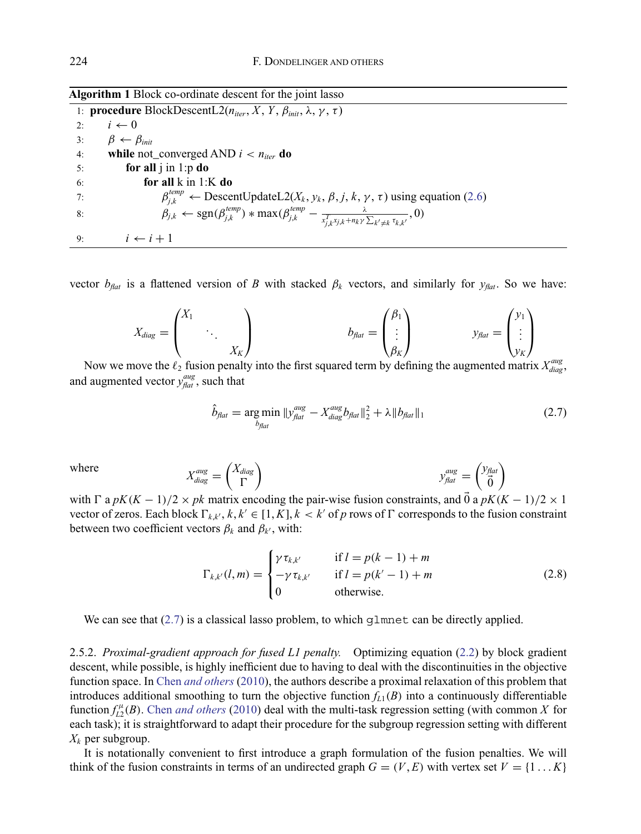<span id="page-5-0"></span>**Algorithm 1** Block co-ordinate descent for the joint lasso

|      | 1: <b>procedure</b> BlockDescentL2( $n_{iter}, X, Y, \beta_{init}, \lambda, \gamma, \tau$ )                                                                         |
|------|---------------------------------------------------------------------------------------------------------------------------------------------------------------------|
| 2:   | $i \leftarrow 0$                                                                                                                                                    |
|      | 3: $\beta \leftarrow \beta_{init}$                                                                                                                                  |
| 4:   | while not_converged AND $i < n_{iter}$ do                                                                                                                           |
| - 5: | for all $j$ in 1:p do                                                                                                                                               |
| 6:   | for all $k$ in 1:K do                                                                                                                                               |
| 7:   | $\beta_{i,k}^{temp} \leftarrow$ DescentUpdateL2( $X_k, y_k, \beta, j, k, \gamma, \tau$ ) using equation (2.6)                                                       |
| 8:   | $\beta_{j,k} \leftarrow \text{sgn}(\beta_{j,k}^{temp}) * \max(\beta_{j,k}^{temp} - \frac{\lambda}{x_{i,k}^T x_{j,k} + n_k \gamma \sum_{k' \neq k} \tau_{k,k'}}, 0)$ |
| 9:   | $i \leftarrow i + 1$                                                                                                                                                |

vector  $b_{\text{flat}}$  is a flattened version of *B* with stacked  $\beta_k$  vectors, and similarly for  $y_{\text{flat}}$ . So we have:

$$
X_{diag} = \begin{pmatrix} X_1 & & \\ & \ddots & \\ & & X_K \end{pmatrix} \qquad b_{flat} = \begin{pmatrix} \beta_1 \\ \vdots \\ \beta_K \end{pmatrix} \qquad y_{flat} = \begin{pmatrix} y_1 \\ \vdots \\ y_K \end{pmatrix}
$$

Now we move the  $\ell_2$  fusion penalty into the first squared term by defining the augmented matrix  $X_{diag}^{aug}$ , and augmented vector  $y_{\text{flat}}^{\text{aug}}$ , such that

$$
\hat{b}_{\text{flat}} = \underset{b_{\text{flat}}}{\text{arg min}} \|\mathbf{y}_{\text{flat}}^{\text{aug}} - X_{\text{diag}}^{\text{aug}} b_{\text{flat}}\|_{2}^{2} + \lambda \|b_{\text{flat}}\|_{1}
$$
\n(2.7)

 $where$ 

$$
X_{diag}^{aug} = \begin{pmatrix} X_{diag} \\ \Gamma \end{pmatrix} \qquad y_{flat}^{aug} = \begin{pmatrix} y_{flat} \\ 0 \end{pmatrix}
$$

with  $\Gamma$  a  $pK(K-1)/2 \times pk$  matrix encoding the pair-wise fusion constraints, and  $\overline{0}$  a  $pK(K-1)/2 \times 1$ vector of zeros. Each block  $\Gamma_{k,k'}, k, k' \in [1, K], k < k'$  of p rows of  $\Gamma$  corresponds to the fusion constraint between two coefficient vectors  $\beta_k$  and  $\beta_{k'}$ , with:

$$
\Gamma_{k,k'}(l,m) = \begin{cases}\n\gamma \tau_{k,k'} & \text{if } l = p(k-1) + m \\
-\gamma \tau_{k,k'} & \text{if } l = p(k'-1) + m \\
0 & \text{otherwise.} \n\end{cases}
$$
\n(2.8)

We can see that  $(2.7)$  is a classical lasso problem, to which glmnet can be directly applied.

2.5.2. *Proximal-gradient approach for fused L1 penalty.* Optimizing equation [\(2.2\)](#page-2-0) by block gradient descent, while possible, is highly inefficient due to having to deal with the discontinuities in the objective function space. In Chen *[and others](#page-15-0)* [\(2010](#page-15-0)), the authors describe a proximal relaxation of this problem that introduces additional smoothing to turn the objective function  $f_{L1}(B)$  into a continuously differentiable function  $f_{L2}^{\mu}(B)$ . Chen *[and others](#page-15-0)* [\(2010\)](#page-15-0) deal with the multi-task regression setting (with common *X* for each task); it is straightforward to adapt their procedure for the subgroup regression setting with different *Xk* per subgroup.

It is notationally convenient to first introduce a graph formulation of the fusion penalties. We will think of the fusion constraints in terms of an undirected graph  $G = (V, E)$  with vertex set  $V = \{1 \dots K\}$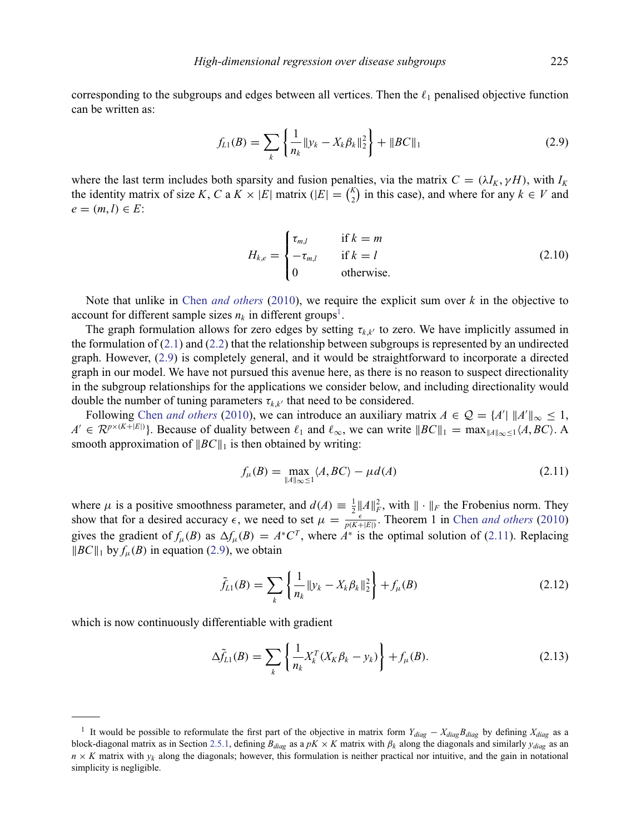<span id="page-6-0"></span>corresponding to the subgroups and edges between all vertices. Then the  $\ell_1$  penalised objective function can be written as:

$$
f_{L1}(B) = \sum_{k} \left\{ \frac{1}{n_k} ||y_k - X_k \beta_k||_2^2 \right\} + ||BC||_1 \tag{2.9}
$$

where the last term includes both sparsity and fusion penalties, via the matrix  $C = (\lambda I_K, \gamma H)$ , with  $I_K$ the identity matrix of size *K*, *C* a *K* × |*E*| matrix (|*E*| =  $\binom{K}{2}$  in this case), and where for any  $k \in V$  and  $e = (m, l) \in E$ :

$$
H_{k,e} = \begin{cases} \tau_{m,l} & \text{if } k = m \\ -\tau_{m,l} & \text{if } k = l \\ 0 & \text{otherwise.} \end{cases} \tag{2.10}
$$

Note that unlike in Chen *[and others](#page-15-0)* [\(2010\)](#page-15-0), we require the explicit sum over *k* in the objective to account for different sample sizes  $n_k$  in different groups<sup>1</sup>.

The graph formulation allows for zero edges by setting  $\tau_{k,k'}$  to zero. We have implicitly assumed in the formulation of  $(2.1)$  and  $(2.2)$  that the relationship between subgroups is represented by an undirected graph. However, (2.9) is completely general, and it would be straightforward to incorporate a directed graph in our model. We have not pursued this avenue here, as there is no reason to suspect directionality in the subgroup relationships for the applications we consider below, and including directionality would double the number of tuning parameters  $\tau_{k,k'}$  that need to be considered.

Following Chen *[and others](#page-15-0)* [\(2010\)](#page-15-0), we can introduce an auxiliary matrix  $A \in \mathcal{Q} = \{A' | \|A'\|_{\infty} \leq 1$ ,  $A' \in \mathcal{R}^{p \times (K+|E|)}$ . Because of duality between  $\ell_1$  and  $\ell_{\infty}$ , we can write  $||BC||_1 = \max_{||A||_{\infty} \leq 1} \langle A, BC \rangle$ . A smooth approximation of  $\|BC\|_1$  is then obtained by writing:

$$
f_{\mu}(B) = \max_{\|A\|_{\infty} \le 1} \langle A, BC \rangle - \mu d(A) \tag{2.11}
$$

where  $\mu$  is a positive smoothness parameter, and  $d(A) \equiv \frac{1}{2} ||A||_F^2$ , with  $|| \cdot ||_F$  the Frobenius norm. They show that for a desired accuracy  $\epsilon$ , we need to set  $\mu = \frac{\epsilon}{p(K+|E|)}$ . Theorem 1 in Chen *[and others](#page-15-0)* [\(2010\)](#page-15-0) gives the gradient of  $f_\mu(B)$  as  $\Delta f_\mu(B) = A^*C^T$ , where  $A^*$  is the optimal solution of (2.11). Replacing  $\|BC\|_1$  by  $f_\mu(B)$  in equation (2.9), we obtain

$$
\tilde{f}_{L1}(B) = \sum_{k} \left\{ \frac{1}{n_k} ||y_k - X_k \beta_k||_2^2 \right\} + f_{\mu}(B) \tag{2.12}
$$

which is now continuously differentiable with gradient

$$
\Delta \tilde{f}_{L1}(B) = \sum_{k} \left\{ \frac{1}{n_k} X_k^T (X_K \beta_k - y_k) \right\} + f_{\mu}(B). \tag{2.13}
$$

<sup>&</sup>lt;sup>1</sup> It would be possible to reformulate the first part of the objective in matrix form *Y<sub>diag</sub>* − *X<sub>diag</sub> B<sub>diag</sub>* by defining *X<sub>diag</sub>* as a block-diagonal matrix as in Section [2.5.1,](#page-4-0) defining  $B_{diag}$  as a  $pK \times K$  matrix with  $\beta_k$  along the diagonals and similarly  $y_{diag}$  as an  $n \times K$  matrix with  $y_k$  along the diagonals; however, this formulation is neither practical nor intuitive, and the gain in notational simplicity is negligible.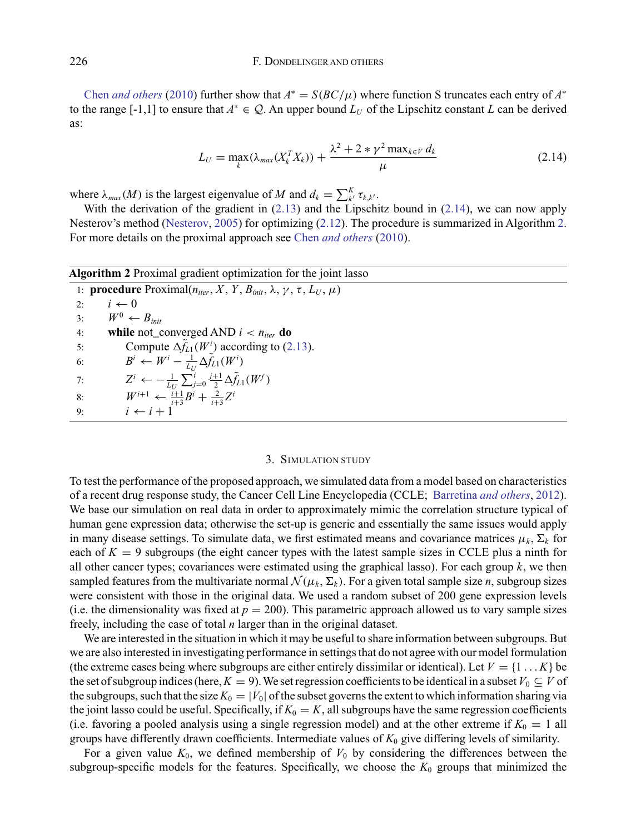Chen *and others* [\(2010\)](#page-15-0) further show that  $A^* = S(BC/\mu)$  where function S truncates each entry of  $A^*$ to the range  $[-1,1]$  to ensure that  $A^* \in \mathcal{Q}$ . An upper bound  $L_U$  of the Lipschitz constant L can be derived as:

$$
L_U = \max_k (\lambda_{max}(X_k^T X_k)) + \frac{\lambda^2 + 2 * \gamma^2 \max_{k \in V} d_k}{\mu}
$$
\n(2.14)

where  $\lambda_{max}(M)$  is the largest eigenvalue of *M* and  $d_k = \sum_{k'}^{K} \tau_{k,k'}$ .

With the derivation of the gradient in [\(2.13\)](#page-6-0) and the Lipschitz bound in (2.14), we can now apply Nesterov's method [\(Nesterov](#page-16-0), [2005](#page-16-0)) for optimizing [\(2.12\)](#page-6-0). The procedure is summarized in Algorithm 2. For more details on the proximal approach see Chen *[and others](#page-15-0)* [\(2010](#page-15-0)).

| Algorithm 2 Proximal gradient optimization for the joint lasso |                                                                                                |  |
|----------------------------------------------------------------|------------------------------------------------------------------------------------------------|--|
|                                                                | 1: <b>procedure</b> Proximal( $n_{iter}, X, Y, B_{init}, \lambda, \gamma, \tau, L_U, \mu$ )    |  |
| 2:                                                             | $i \leftarrow 0$                                                                               |  |
| 3:                                                             | $W^0 \leftarrow B_{init}$                                                                      |  |
| 4:                                                             | while not converged AND $i < n_{iter}$ do                                                      |  |
| 5:                                                             | Compute $\Delta f_{L1}(W^i)$ according to (2.13).                                              |  |
| 6:                                                             | $B^i \leftarrow W^i - \frac{1}{l_{II}} \Delta \tilde{f}_{L1}(W^i)$                             |  |
| 7:                                                             | $Z^{i} \leftarrow -\frac{1}{l_{II}} \sum_{j=0}^{i} \frac{j+1}{2} \Delta \tilde{f}_{L1}(W^{f})$ |  |
| 8:                                                             | $W^{i+1} \leftarrow \frac{i+1}{i+3}B^i + \frac{2}{i+3}Z^i$                                     |  |
| 9:                                                             | $i \leftarrow i + 1$                                                                           |  |

#### 3. SIMULATION STUDY

To test the performance of the proposed approach, we simulated data from a model based on characteristics of a recent drug response study, the Cancer Cell Line Encyclopedia (CCLE; Barretina *[and others](#page-15-0)*, [2012\)](#page-15-0). We base our simulation on real data in order to approximately mimic the correlation structure typical of human gene expression data; otherwise the set-up is generic and essentially the same issues would apply in many disease settings. To simulate data, we first estimated means and covariance matrices  $\mu_k$ ,  $\Sigma_k$  for each of  $K = 9$  subgroups (the eight cancer types with the latest sample sizes in CCLE plus a ninth for all other cancer types; covariances were estimated using the graphical lasso). For each group  $k$ , we then sampled features from the multivariate normal  $\mathcal{N}(\mu_k, \Sigma_k)$ . For a given total sample size *n*, subgroup sizes were consistent with those in the original data. We used a random subset of 200 gene expression levels (i.e. the dimensionality was fixed at  $p = 200$ ). This parametric approach allowed us to vary sample sizes freely, including the case of total *n* larger than in the original dataset.

We are interested in the situation in which it may be useful to share information between subgroups. But we are also interested in investigating performance in settings that do not agree with our model formulation (the extreme cases being where subgroups are either entirely dissimilar or identical). Let  $V = \{1 \dots K\}$  be the set of subgroup indices (here,  $K = 9$ ). We set regression coefficients to be identical in a subset  $V_0 \subseteq V$  of the subgroups, such that the size  $K_0 = |V_0|$  of the subset governs the extent to which information sharing via the joint lasso could be useful. Specifically, if  $K_0 = K$ , all subgroups have the same regression coefficients (i.e. favoring a pooled analysis using a single regression model) and at the other extreme if  $K_0 = 1$  all groups have differently drawn coefficients. Intermediate values of *K*<sup>0</sup> give differing levels of similarity.

For a given value  $K_0$ , we defined membership of  $V_0$  by considering the differences between the subgroup-specific models for the features. Specifically, we choose the  $K_0$  groups that minimized the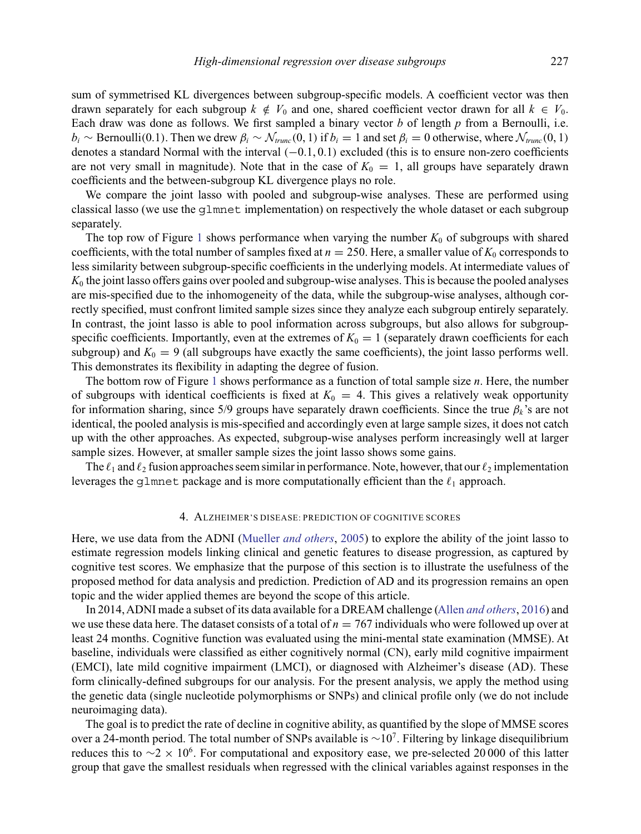sum of symmetrised KL divergences between subgroup-specific models. A coefficient vector was then drawn separately for each subgroup  $k \notin V_0$  and one, shared coefficient vector drawn for all  $k \in V_0$ . Each draw was done as follows. We first sampled a binary vector *b* of length *p* from a Bernoulli, i.e.  $b_i \sim$  Bernoulli(0.1). Then we drew  $\beta_i \sim \mathcal{N}_{trunc}(0, 1)$  if  $b_i = 1$  and set  $\beta_i = 0$  otherwise, where  $\mathcal{N}_{trunc}(0, 1)$ denotes a standard Normal with the interval (−0.1, 0.1) excluded (this is to ensure non-zero coefficients are not very small in magnitude). Note that in the case of  $K_0 = 1$ , all groups have separately drawn coefficients and the between-subgroup KL divergence plays no role.

We compare the joint lasso with pooled and subgroup-wise analyses. These are performed using classical lasso (we use the glmnet implementation) on respectively the whole dataset or each subgroup separately.

The top row of Figure [1](#page-9-0) shows performance when varying the number  $K_0$  of subgroups with shared coefficients, with the total number of samples fixed at  $n = 250$ . Here, a smaller value of  $K_0$  corresponds to less similarity between subgroup-specific coefficients in the underlying models. At intermediate values of  $K_0$  the joint lasso offers gains over pooled and subgroup-wise analyses. This is because the pooled analyses are mis-specified due to the inhomogeneity of the data, while the subgroup-wise analyses, although correctly specified, must confront limited sample sizes since they analyze each subgroup entirely separately. In contrast, the joint lasso is able to pool information across subgroups, but also allows for subgroupspecific coefficients. Importantly, even at the extremes of  $K_0 = 1$  (separately drawn coefficients for each subgroup) and  $K_0 = 9$  (all subgroups have exactly the same coefficients), the joint lasso performs well. This demonstrates its flexibility in adapting the degree of fusion.

The bottom row of Figure [1](#page-9-0) shows performance as a function of total sample size *n*. Here, the number of subgroups with identical coefficients is fixed at  $K_0 = 4$ . This gives a relatively weak opportunity for information sharing, since 5/9 groups have separately drawn coefficients. Since the true  $\beta_k$ 's are not identical, the pooled analysis is mis-specified and accordingly even at large sample sizes, it does not catch up with the other approaches. As expected, subgroup-wise analyses perform increasingly well at larger sample sizes. However, at smaller sample sizes the joint lasso shows some gains.

The  $\ell_1$  and  $\ell_2$  fusion approaches seem similar in performance. Note, however, that our  $\ell_2$  implementation leverages the glmnet package and is more computationally efficient than the  $\ell_1$  approach.

## 4. ALZHEIMER'S DISEASE: PREDICTION OF COGNITIVE SCORES

Here, we use data from the ADNI (Mueller *[and others](#page-16-0)*, [2005\)](#page-16-0) to explore the ability of the joint lasso to estimate regression models linking clinical and genetic features to disease progression, as captured by cognitive test scores. We emphasize that the purpose of this section is to illustrate the usefulness of the proposed method for data analysis and prediction. Prediction of AD and its progression remains an open topic and the wider applied themes are beyond the scope of this article.

In 2014, ADNI made a subset of its data available for a DREAM challenge (Allen *[and others](#page-15-0)*, [2016\)](#page-15-0) and we use these data here. The dataset consists of a total of  $n = 767$  individuals who were followed up over at least 24 months. Cognitive function was evaluated using the mini-mental state examination (MMSE). At baseline, individuals were classified as either cognitively normal (CN), early mild cognitive impairment (EMCI), late mild cognitive impairment (LMCI), or diagnosed with Alzheimer's disease (AD). These form clinically-defined subgroups for our analysis. For the present analysis, we apply the method using the genetic data (single nucleotide polymorphisms or SNPs) and clinical profile only (we do not include neuroimaging data).

The goal is to predict the rate of decline in cognitive ability, as quantified by the slope of MMSE scores over a 24-month period. The total number of SNPs available is ∼107. Filtering by linkage disequilibrium reduces this to  $\sim$ 2 × 10<sup>6</sup>. For computational and expository ease, we pre-selected 20 000 of this latter group that gave the smallest residuals when regressed with the clinical variables against responses in the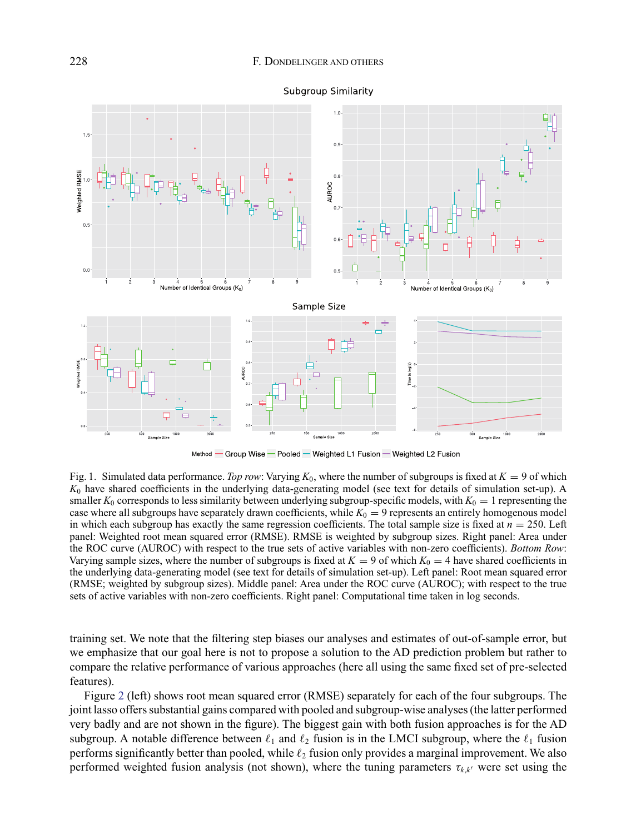<span id="page-9-0"></span>

Method - Group Wise - Pooled - Weighted L1 Fusion - Weighted L2 Fusion

Fig. 1. Simulated data performance. *Top row*: Varying  $K_0$ , where the number of subgroups is fixed at  $K = 9$  of which *K*<sup>0</sup> have shared coefficients in the underlying data-generating model (see text for details of simulation set-up). A smaller  $K_0$  corresponds to less similarity between underlying subgroup-specific models, with  $K_0 = 1$  representing the case where all subgroups have separately drawn coefficients, while  $K_0 = 9$  represents an entirely homogenous model in which each subgroup has exactly the same regression coefficients. The total sample size is fixed at  $n = 250$ . Left panel: Weighted root mean squared error (RMSE). RMSE is weighted by subgroup sizes. Right panel: Area under the ROC curve (AUROC) with respect to the true sets of active variables with non-zero coefficients). *Bottom Row*: Varying sample sizes, where the number of subgroups is fixed at  $K = 9$  of which  $K_0 = 4$  have shared coefficients in the underlying data-generating model (see text for details of simulation set-up). Left panel: Root mean squared error (RMSE; weighted by subgroup sizes). Middle panel: Area under the ROC curve (AUROC); with respect to the true sets of active variables with non-zero coefficients. Right panel: Computational time taken in log seconds.

training set. We note that the filtering step biases our analyses and estimates of out-of-sample error, but we emphasize that our goal here is not to propose a solution to the AD prediction problem but rather to compare the relative performance of various approaches (here all using the same fixed set of pre-selected features).

Figure [2](#page-10-0) (left) shows root mean squared error (RMSE) separately for each of the four subgroups. The joint lasso offers substantial gains compared with pooled and subgroup-wise analyses (the latter performed very badly and are not shown in the figure). The biggest gain with both fusion approaches is for the AD subgroup. A notable difference between  $\ell_1$  and  $\ell_2$  fusion is in the LMCI subgroup, where the  $\ell_1$  fusion performs significantly better than pooled, while  $\ell_2$  fusion only provides a marginal improvement. We also performed weighted fusion analysis (not shown), where the tuning parameters  $\tau_{k,k'}$  were set using the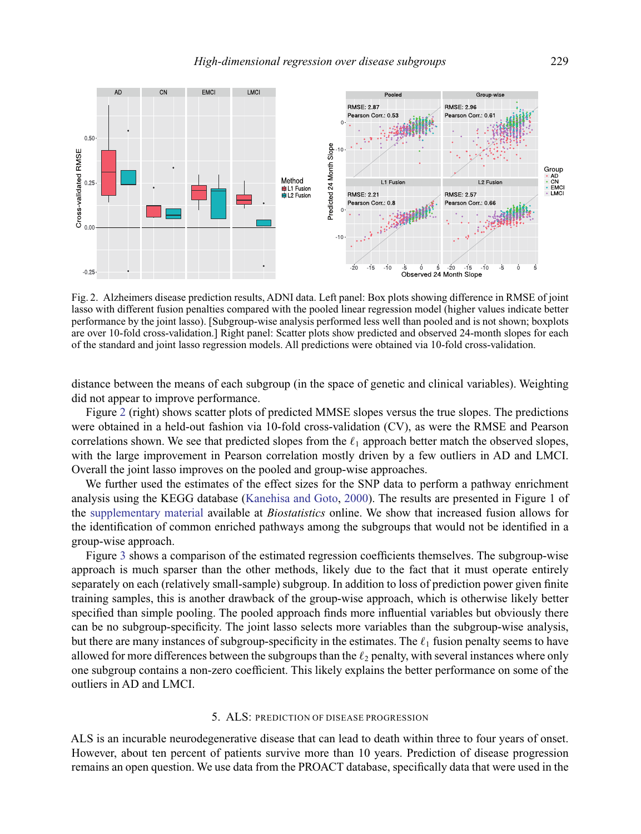<span id="page-10-0"></span>

Fig. 2. Alzheimers disease prediction results, ADNI data. Left panel: Box plots showing difference in RMSE of joint lasso with different fusion penalties compared with the pooled linear regression model (higher values indicate better performance by the joint lasso). [Subgroup-wise analysis performed less well than pooled and is not shown; boxplots are over 10-fold cross-validation.] Right panel: Scatter plots show predicted and observed 24-month slopes for each of the standard and joint lasso regression models. All predictions were obtained via 10-fold cross-validation.

distance between the means of each subgroup (in the space of genetic and clinical variables). Weighting did not appear to improve performance.

Figure 2 (right) shows scatter plots of predicted MMSE slopes versus the true slopes. The predictions were obtained in a held-out fashion via 10-fold cross-validation (CV), as were the RMSE and Pearson correlations shown. We see that predicted slopes from the  $\ell_1$  approach better match the observed slopes, with the large improvement in Pearson correlation mostly driven by a few outliers in AD and LMCI. Overall the joint lasso improves on the pooled and group-wise approaches.

We further used the estimates of the effect sizes for the SNP data to perform a pathway enrichment analysis using the KEGG database [\(Kanehisa and Goto](#page-15-0), [2000\)](#page-15-0). The results are presented in Figure 1 of the [supplementary material](https://academic.oup.com/biostatistics/article-lookup/doi/10.1093/biostatistics/kxy035#supplementary-data) available at *Biostatistics* online. We show that increased fusion allows for the identification of common enriched pathways among the subgroups that would not be identified in a group-wise approach.

Figure [3](#page-11-0) shows a comparison of the estimated regression coefficients themselves. The subgroup-wise approach is much sparser than the other methods, likely due to the fact that it must operate entirely separately on each (relatively small-sample) subgroup. In addition to loss of prediction power given finite training samples, this is another drawback of the group-wise approach, which is otherwise likely better specified than simple pooling. The pooled approach finds more influential variables but obviously there can be no subgroup-specificity. The joint lasso selects more variables than the subgroup-wise analysis, but there are many instances of subgroup-specificity in the estimates. The  $\ell_1$  fusion penalty seems to have allowed for more differences between the subgroups than the  $\ell_2$  penalty, with several instances where only one subgroup contains a non-zero coefficient. This likely explains the better performance on some of the outliers in AD and LMCI.

#### 5. ALS: PREDICTION OF DISEASE PROGRESSION

ALS is an incurable neurodegenerative disease that can lead to death within three to four years of onset. However, about ten percent of patients survive more than 10 years. Prediction of disease progression remains an open question. We use data from the PROACT database, specifically data that were used in the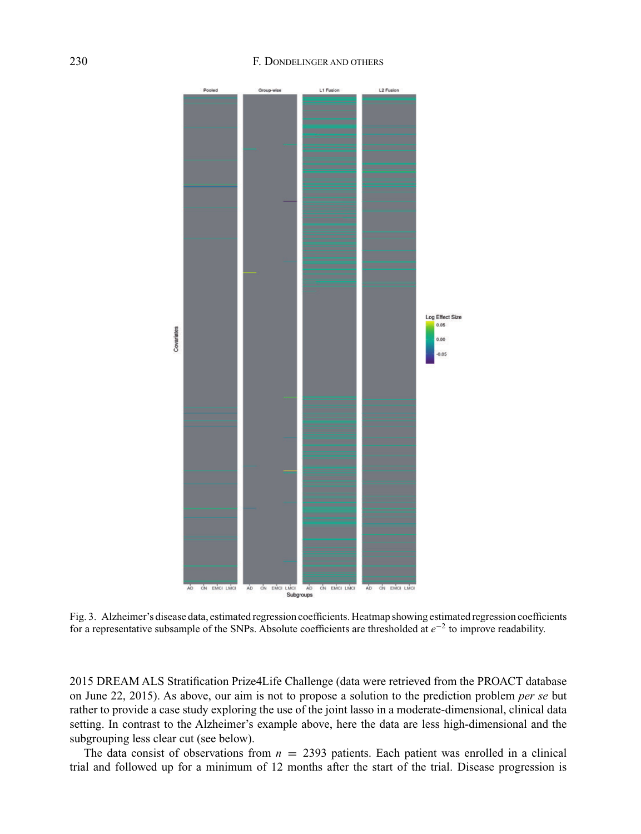## <span id="page-11-0"></span>230 **F. DONDELINGER AND OTHERS**



Fig. 3. Alzheimer's disease data, estimated regression coefficients. Heatmap showing estimated regression coefficients for a representative subsample of the SNPs. Absolute coefficients are thresholded at *e*<sup>−</sup><sup>2</sup> to improve readability.

2015 DREAM ALS Stratification Prize4Life Challenge (data were retrieved from the PROACT database on June 22, 2015). As above, our aim is not to propose a solution to the prediction problem *per se* but rather to provide a case study exploring the use of the joint lasso in a moderate-dimensional, clinical data setting. In contrast to the Alzheimer's example above, here the data are less high-dimensional and the subgrouping less clear cut (see below).

The data consist of observations from  $n = 2393$  patients. Each patient was enrolled in a clinical trial and followed up for a minimum of 12 months after the start of the trial. Disease progression is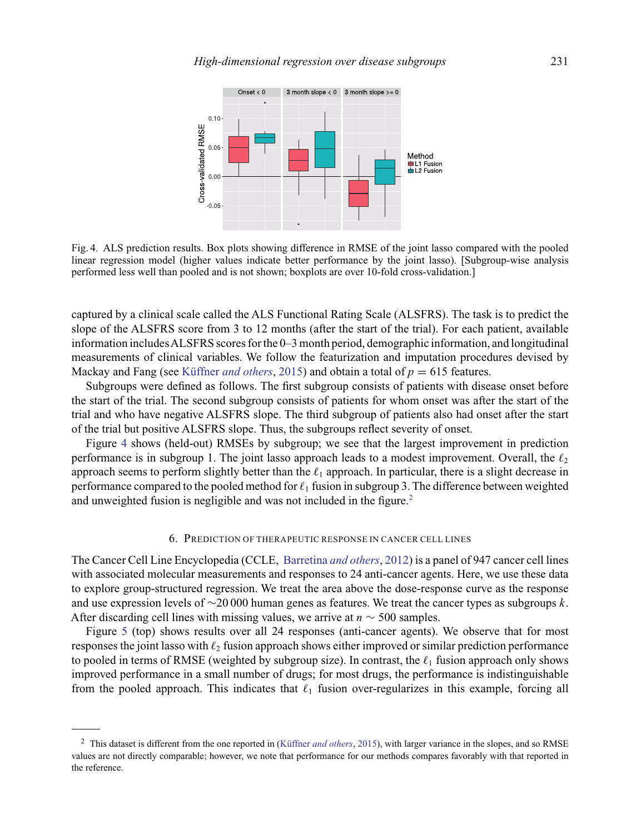

Fig. 4. ALS prediction results. Box plots showing difference in RMSE of the joint lasso compared with the pooled linear regression model (higher values indicate better performance by the joint lasso). [Subgroup-wise analysis performed less well than pooled and is not shown; boxplots are over 10-fold cross-validation.]

captured by a clinical scale called the ALS Functional Rating Scale (ALSFRS). The task is to predict the slope of the ALSFRS score from 3 to 12 months (after the start of the trial). For each patient, available information includesALSFRS scores for the 0–3 month period, demographic information, and longitudinal measurements of clinical variables. We follow the featurization and imputation procedures devised by Mackay and Fang (see Küffner *[and others](#page-15-0)*, [2015](#page-15-0)) and obtain a total of  $p = 615$  features.

Subgroups were defined as follows. The first subgroup consists of patients with disease onset before the start of the trial. The second subgroup consists of patients for whom onset was after the start of the trial and who have negative ALSFRS slope. The third subgroup of patients also had onset after the start of the trial but positive ALSFRS slope. Thus, the subgroups reflect severity of onset.

Figure 4 shows (held-out) RMSEs by subgroup; we see that the largest improvement in prediction performance is in subgroup 1. The joint lasso approach leads to a modest improvement. Overall, the  $\ell_2$ approach seems to perform slightly better than the  $\ell_1$  approach. In particular, there is a slight decrease in performance compared to the pooled method for  $\ell_1$  fusion in subgroup 3. The difference between weighted and unweighted fusion is negligible and was not included in the figure.<sup>2</sup>

## 6. PREDICTION OF THERAPEUTIC RESPONSE IN CANCER CELL LINES

The Cancer Cell Line Encyclopedia (CCLE, Barretina *[and others](#page-15-0)*, [2012\)](#page-15-0) is a panel of 947 cancer cell lines with associated molecular measurements and responses to 24 anti-cancer agents. Here, we use these data to explore group-structured regression. We treat the area above the dose-response curve as the response and use expression levels of ∼20 000 human genes as features. We treat the cancer types as subgroups *k*. After discarding cell lines with missing values, we arrive at *n* ∼ 500 samples.

Figure [5](#page-13-0) (top) shows results over all 24 responses (anti-cancer agents). We observe that for most responses the joint lasso with  $\ell_2$  fusion approach shows either improved or similar prediction performance to pooled in terms of RMSE (weighted by subgroup size). In contrast, the  $\ell_1$  fusion approach only shows improved performance in a small number of drugs; for most drugs, the performance is indistinguishable from the pooled approach. This indicates that  $\ell_1$  fusion over-regularizes in this example, forcing all

<sup>2</sup> This dataset is different from the one reported in (Küffner *[and others](#page-15-0)*, [2015\)](#page-15-0), with larger variance in the slopes, and so RMSE values are not directly comparable; however, we note that performance for our methods compares favorably with that reported in the reference.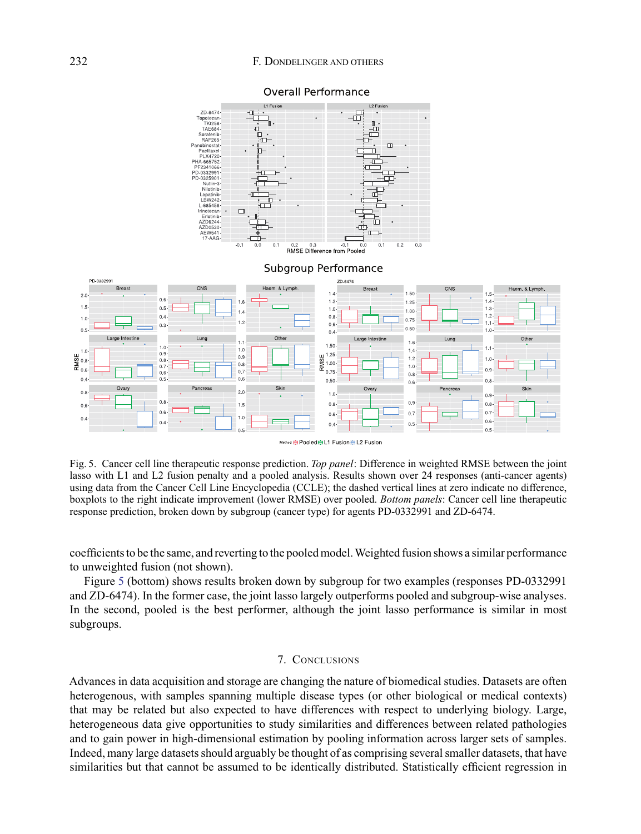<span id="page-13-0"></span>

Fig. 5. Cancer cell line therapeutic response prediction. *Top panel*: Difference in weighted RMSE between the joint lasso with L1 and L2 fusion penalty and a pooled analysis. Results shown over 24 responses (anti-cancer agents) using data from the Cancer Cell Line Encyclopedia (CCLE); the dashed vertical lines at zero indicate no difference, boxplots to the right indicate improvement (lower RMSE) over pooled. *Bottom panels*: Cancer cell line therapeutic response prediction, broken down by subgroup (cancer type) for agents PD-0332991 and ZD-6474.

coefficients to be the same, and reverting to the pooled model.Weighted fusion shows a similar performance to unweighted fusion (not shown).

Figure 5 (bottom) shows results broken down by subgroup for two examples (responses PD-0332991 and ZD-6474). In the former case, the joint lasso largely outperforms pooled and subgroup-wise analyses. In the second, pooled is the best performer, although the joint lasso performance is similar in most subgroups.

## 7. CONCLUSIONS

Advances in data acquisition and storage are changing the nature of biomedical studies. Datasets are often heterogenous, with samples spanning multiple disease types (or other biological or medical contexts) that may be related but also expected to have differences with respect to underlying biology. Large, heterogeneous data give opportunities to study similarities and differences between related pathologies and to gain power in high-dimensional estimation by pooling information across larger sets of samples. Indeed, many large datasets should arguably be thought of as comprising several smaller datasets, that have similarities but that cannot be assumed to be identically distributed. Statistically efficient regression in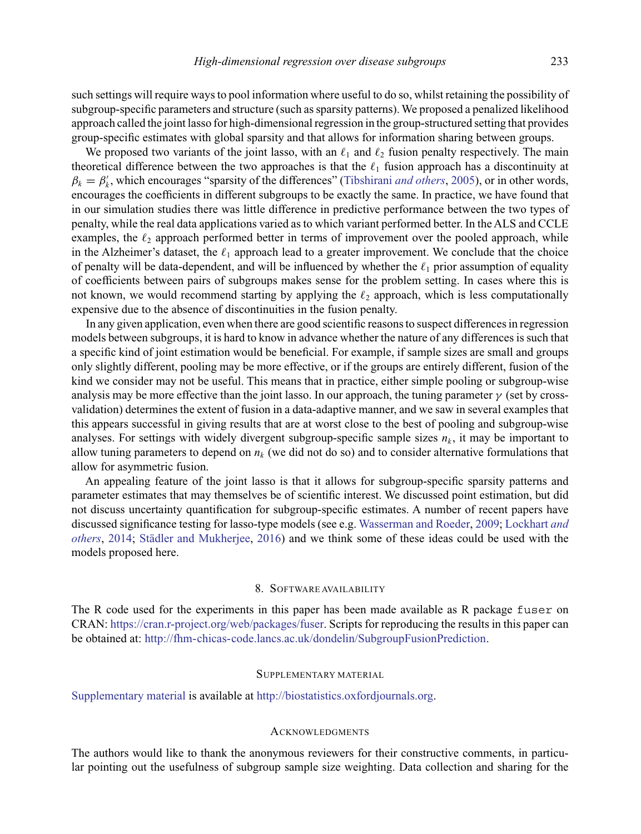such settings will require ways to pool information where useful to do so, whilst retaining the possibility of subgroup-specific parameters and structure (such as sparsity patterns).We proposed a penalized likelihood approach called the joint lasso for high-dimensional regression in the group-structured setting that provides group-specific estimates with global sparsity and that allows for information sharing between groups.

We proposed two variants of the joint lasso, with an  $\ell_1$  and  $\ell_2$  fusion penalty respectively. The main theoretical difference between the two approaches is that the  $\ell_1$  fusion approach has a discontinuity at  $\beta_k = \beta'_k$ , which encourages "sparsity of the differences" [\(Tibshirani](#page-16-0) *and others*, [2005\)](#page-16-0), or in other words, encourages the coefficients in different subgroups to be exactly the same. In practice, we have found that in our simulation studies there was little difference in predictive performance between the two types of penalty, while the real data applications varied as to which variant performed better. In the ALS and CCLE examples, the  $\ell_2$  approach performed better in terms of improvement over the pooled approach, while in the Alzheimer's dataset, the  $\ell_1$  approach lead to a greater improvement. We conclude that the choice of penalty will be data-dependent, and will be influenced by whether the  $\ell_1$  prior assumption of equality of coefficients between pairs of subgroups makes sense for the problem setting. In cases where this is not known, we would recommend starting by applying the  $\ell_2$  approach, which is less computationally expensive due to the absence of discontinuities in the fusion penalty.

In any given application, even when there are good scientific reasons to suspect differences in regression models between subgroups, it is hard to know in advance whether the nature of any differences is such that a specific kind of joint estimation would be beneficial. For example, if sample sizes are small and groups only slightly different, pooling may be more effective, or if the groups are entirely different, fusion of the kind we consider may not be useful. This means that in practice, either simple pooling or subgroup-wise analysis may be more effective than the joint lasso. In our approach, the tuning parameter  $\gamma$  (set by crossvalidation) determines the extent of fusion in a data-adaptive manner, and we saw in several examples that this appears successful in giving results that are at worst close to the best of pooling and subgroup-wise analyses. For settings with widely divergent subgroup-specific sample sizes  $n_k$ , it may be important to allow tuning parameters to depend on  $n_k$  (we did not do so) and to consider alternative formulations that allow for asymmetric fusion.

An appealing feature of the joint lasso is that it allows for subgroup-specific sparsity patterns and parameter estimates that may themselves be of scientific interest. We discussed point estimation, but did not discuss uncertainty quantification for subgroup-specific estimates. A number of recent papers have discus[sed significance testing for lasso-type models \(see e.g.](#page-16-0) [Wasserman and Roeder,](#page-16-0) [2009](#page-16-0); Lockhart *and others*, [2014](#page-16-0); [Städler and Mukherjee](#page-16-0), [2016\)](#page-16-0) and we think some of these ideas could be used with the models proposed here.

## 8. SOFTWARE AVAILABILITY

The R code used for the experiments in this paper has been made available as R package fuser on CRAN: [https://cran.r-project.org/web/packages/fuser.](https://cran.r-project.org/web/packages/fuser) Scripts for reproducing the results in this paper can be obtained at: [http://fhm-chicas-code.lancs.ac.uk/dondelin/SubgroupFusionPrediction.](http://fhm-chicas-code.lancs.ac.uk/dondelin/SubgroupFusionPrediction)

## SUPPLEMENTARY MATERIAL

[Supplementary material](https://academic.oup.com/biostatistics/article-lookup/doi/10.1093/biostatistics/kxy035#supplementary-data) is available at [http://biostatistics.oxfordjournals.org.](http://biostatistics.oxfordjournals.org)

#### **ACKNOWLEDGMENTS**

The authors would like to thank the anonymous reviewers for their constructive comments, in particular pointing out the usefulness of subgroup sample size weighting. Data collection and sharing for the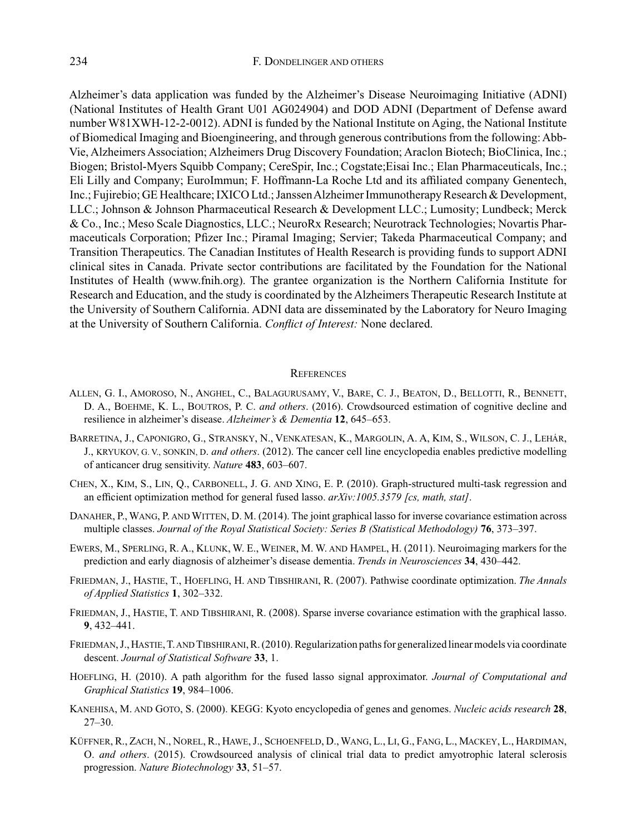<span id="page-15-0"></span>Alzheimer's data application was funded by the Alzheimer's Disease Neuroimaging Initiative (ADNI) (National Institutes of Health Grant U01 AG024904) and DOD ADNI (Department of Defense award number W81XWH-12-2-0012). ADNI is funded by the National Institute on Aging, the National Institute of Biomedical Imaging and Bioengineering, and through generous contributions from the following: Abb-Vie, Alzheimers Association; Alzheimers Drug Discovery Foundation; Araclon Biotech; BioClinica, Inc.; Biogen; Bristol-Myers Squibb Company; CereSpir, Inc.; Cogstate;Eisai Inc.; Elan Pharmaceuticals, Inc.; Eli Lilly and Company; EuroImmun; F. Hoffmann-La Roche Ltd and its affiliated company Genentech, Inc.; Fujirebio; GE Healthcare; IXICO Ltd.; JanssenAlzheimer Immunotherapy Research & Development, LLC.; Johnson & Johnson Pharmaceutical Research & Development LLC.; Lumosity; Lundbeck; Merck & Co., Inc.; Meso Scale Diagnostics, LLC.; NeuroRx Research; Neurotrack Technologies; Novartis Pharmaceuticals Corporation; Pfizer Inc.; Piramal Imaging; Servier; Takeda Pharmaceutical Company; and Transition Therapeutics. The Canadian Institutes of Health Research is providing funds to support ADNI clinical sites in Canada. Private sector contributions are facilitated by the Foundation for the National Institutes of Health (www.fnih.org). The grantee organization is the Northern California Institute for Research and Education, and the study is coordinated by the Alzheimers Therapeutic Research Institute at the University of Southern California. ADNI data are disseminated by the Laboratory for Neuro Imaging at the University of Southern California. *Conflict of Interest:* None declared.

## **REFERENCES**

- ALLEN, G. I., AMOROSO, N., ANGHEL, C., BALAGURUSAMY, V., BARE, C. J., BEATON, D., BELLOTTI, R., BENNETT, D. A., BOEHME, K. L., BOUTROS, P. C. *and others*. (2016). Crowdsourced estimation of cognitive decline and resilience in alzheimer's disease. *Alzheimer's & Dementia* **12**, 645–653.
- BARRETINA, J., CAPONIGRO, G., STRANSKY, N., VENKATESAN, K., MARGOLIN, A. A, KIM, S., WILSON, C. J., LEHÁR, J., KRYUKOV, G. V., SONKIN, D. *and others*. (2012). The cancer cell line encyclopedia enables predictive modelling of anticancer drug sensitivity. *Nature* **483**, 603–607.
- CHEN, X., KIM, S., LIN, Q., CARBONELL, J. G. AND XING, E. P. (2010). Graph-structured multi-task regression and an efficient optimization method for general fused lasso. *arXiv:1005.3579 [cs, math, stat]*.
- DANAHER, P., WANG, P. AND WITTEN, D. M. (2014). The joint graphical lasso for inverse covariance estimation across multiple classes. *Journal of the Royal Statistical Society: Series B (Statistical Methodology)* **76**, 373–397.
- EWERS, M., SPERLING, R. A., KLUNK, W. E., WEINER, M. W. AND HAMPEL, H. (2011). Neuroimaging markers for the prediction and early diagnosis of alzheimer's disease dementia. *Trends in Neurosciences* **34**, 430–442.
- FRIEDMAN, J., HASTIE, T., HOEFLING, H. AND TIBSHIRANI, R. (2007). Pathwise coordinate optimization. *The Annals of Applied Statistics* **1**, 302–332.
- FRIEDMAN, J., HASTIE, T. AND TIBSHIRANI, R. (2008). Sparse inverse covariance estimation with the graphical lasso. **9**, 432–441.
- FRIEDMAN, J., HASTIE, T.AND TIBSHIRANI, R. (2010). Regularization paths for generalized linear models via coordinate descent. *Journal of Statistical Software* **33**, 1.
- HOEFLING, H. (2010). A path algorithm for the fused lasso signal approximator. *Journal of Computational and Graphical Statistics* **19**, 984–1006.
- KANEHISA, M. AND GOTO, S. (2000). KEGG: Kyoto encyclopedia of genes and genomes. *Nucleic acids research* **28**, 27–30.
- KÜFFNER, R., ZACH, N., NOREL, R., HAWE, J., SCHOENFELD, D.,WANG, L., LI, G., FANG, L., MACKEY, L., HARDIMAN, O. *and others*. (2015). Crowdsourced analysis of clinical trial data to predict amyotrophic lateral sclerosis progression. *Nature Biotechnology* **33**, 51–57.